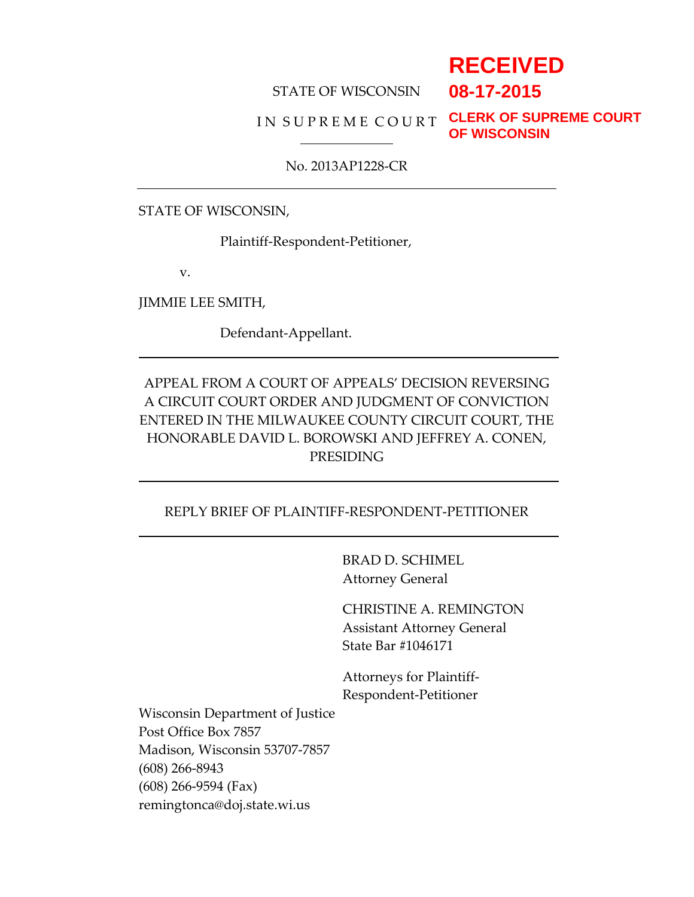# **RECEIVED**

#### STATE OF WISCONSIN

# **08-17-2015**

# I N S U P R E M E C O U R T **CLERK OF SUPREME COURT**

**OF WISCONSIN**

#### No. 2013AP1228-CR

STATE OF WISCONSIN,

Plaintiff-Respondent-Petitioner,

v.

JIMMIE LEE SMITH,

Defendant-Appellant.

# APPEAL FROM A COURT OF APPEALS' DECISION REVERSING A CIRCUIT COURT ORDER AND JUDGMENT OF CONVICTION ENTERED IN THE MILWAUKEE COUNTY CIRCUIT COURT, THE HONORABLE DAVID L. BOROWSKI AND JEFFREY A. CONEN, PRESIDING

#### REPLY BRIEF OF PLAINTIFF-RESPONDENT-PETITIONER

BRAD D. SCHIMEL Attorney General

CHRISTINE A. REMINGTON Assistant Attorney General State Bar #1046171

Attorneys for Plaintiff-Respondent-Petitioner

Wisconsin Department of Justice Post Office Box 7857 Madison, Wisconsin 53707-7857 (608) 266-8943 (608) 266-9594 (Fax) remingtonca@doj.state.wi.us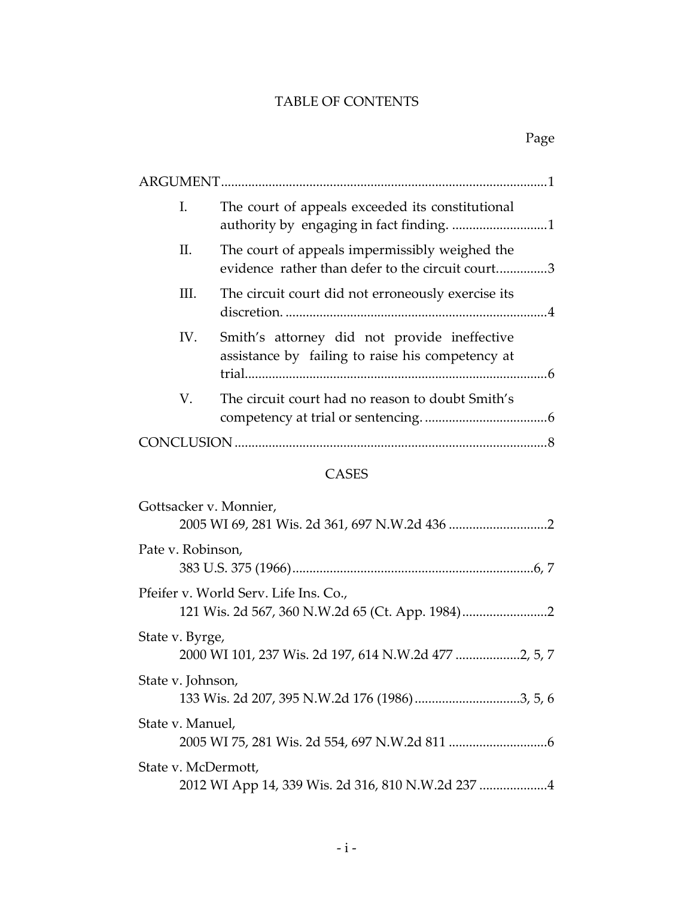# TABLE OF CONTENTS

| I.  | The court of appeals exceeded its constitutional                                                   |  |
|-----|----------------------------------------------------------------------------------------------------|--|
| П.  | The court of appeals impermissibly weighed the<br>evidence rather than defer to the circuit court3 |  |
| Ш.  | The circuit court did not erroneously exercise its                                                 |  |
| IV. | Smith's attorney did not provide ineffective<br>assistance by failing to raise his competency at   |  |
| V.  | The circuit court had no reason to doubt Smith's                                                   |  |
|     |                                                                                                    |  |

# CASES

| Gottsacker v. Monnier,                                                                  |
|-----------------------------------------------------------------------------------------|
| Pate v. Robinson,                                                                       |
| Pfeifer v. World Serv. Life Ins. Co.,<br>121 Wis. 2d 567, 360 N.W.2d 65 (Ct. App. 1984) |
| State v. Byrge,                                                                         |
| State v. Johnson,<br>133 Wis. 2d 207, 395 N.W.2d 176 (1986)3, 5, 6                      |
| State v. Manuel,                                                                        |
| State v. McDermott,<br>2012 WI App 14, 339 Wis. 2d 316, 810 N.W.2d 237 4                |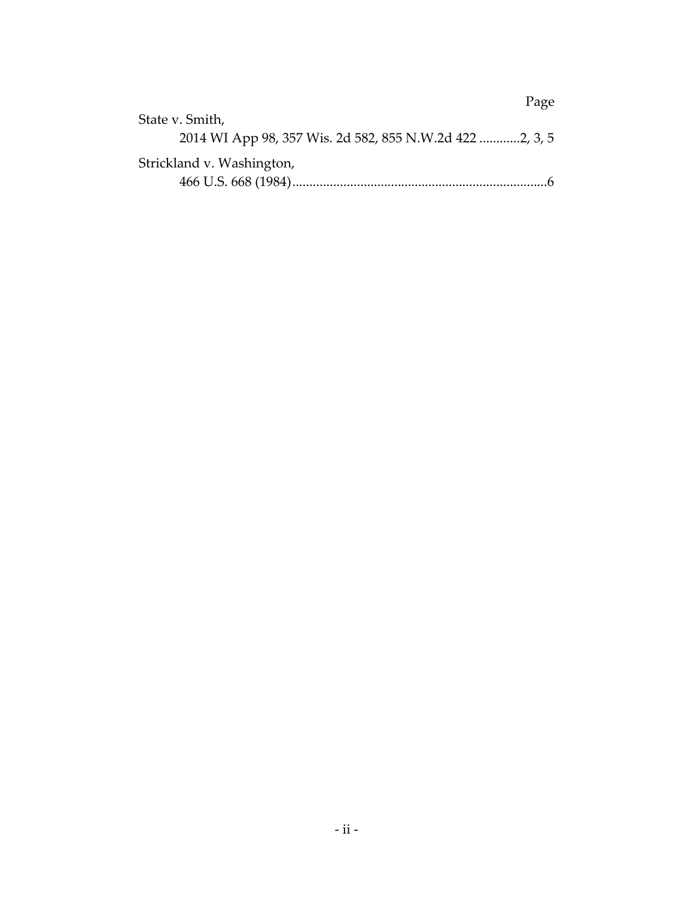|                                                         | Page |
|---------------------------------------------------------|------|
| State v. Smith,                                         |      |
| 2014 WI App 98, 357 Wis. 2d 582, 855 N.W.2d 422 2, 3, 5 |      |
| Strickland v. Washington,                               |      |
|                                                         | -6   |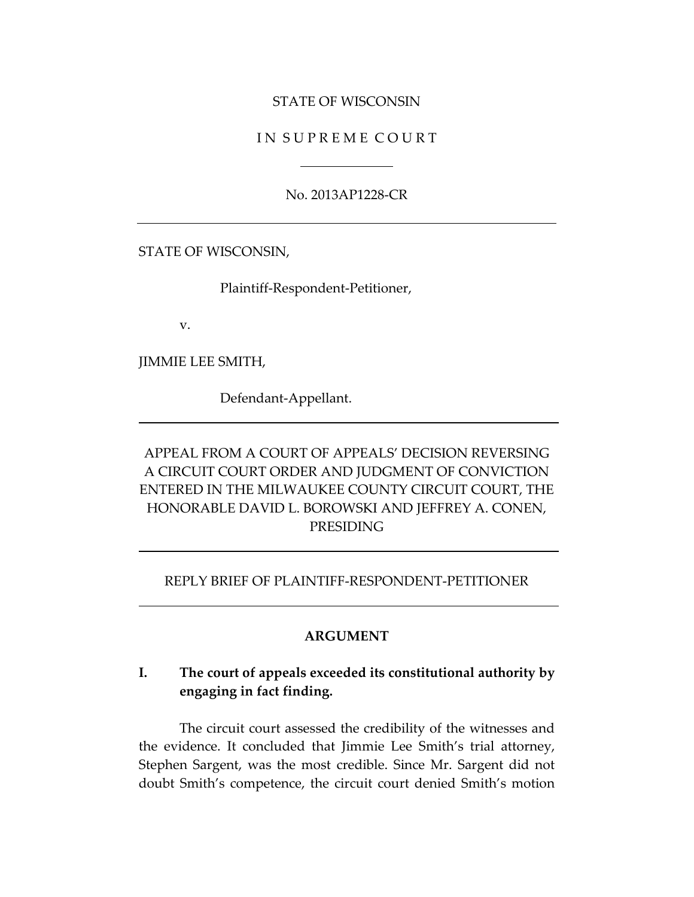#### STATE OF WISCONSIN

#### IN SUPREME COURT

No. 2013AP1228-CR

STATE OF WISCONSIN,

Plaintiff-Respondent-Petitioner,

v.

JIMMIE LEE SMITH,

Defendant-Appellant.

APPEAL FROM A COURT OF APPEALS' DECISION REVERSING A CIRCUIT COURT ORDER AND JUDGMENT OF CONVICTION ENTERED IN THE MILWAUKEE COUNTY CIRCUIT COURT, THE HONORABLE DAVID L. BOROWSKI AND JEFFREY A. CONEN, PRESIDING

#### REPLY BRIEF OF PLAINTIFF-RESPONDENT-PETITIONER

#### **ARGUMENT**

## **I. The court of appeals exceeded its constitutional authority by engaging in fact finding.**

The circuit court assessed the credibility of the witnesses and the evidence. It concluded that Jimmie Lee Smith's trial attorney, Stephen Sargent, was the most credible. Since Mr. Sargent did not doubt Smith's competence, the circuit court denied Smith's motion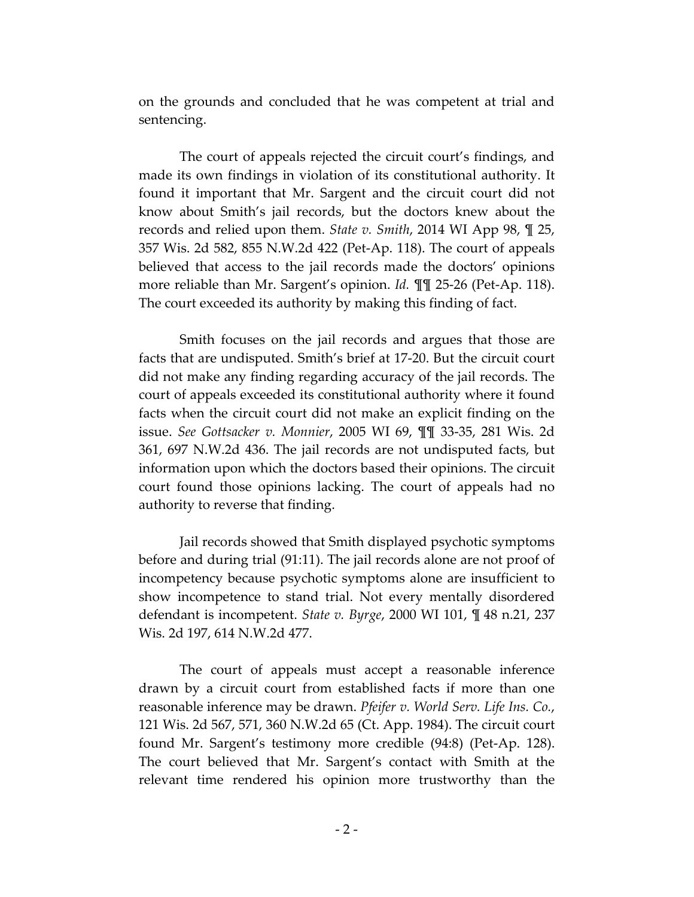on the grounds and concluded that he was competent at trial and sentencing.

The court of appeals rejected the circuit court's findings, and made its own findings in violation of its constitutional authority. It found it important that Mr. Sargent and the circuit court did not know about Smith's jail records, but the doctors knew about the records and relied upon them. *State v. Smith*, 2014 WI App 98, ¶ 25, 357 Wis. 2d 582, 855 N.W.2d 422 (Pet-Ap. 118). The court of appeals believed that access to the jail records made the doctors' opinions more reliable than Mr. Sargent's opinion. *Id.* ¶¶ 25-26 (Pet-Ap. 118). The court exceeded its authority by making this finding of fact.

Smith focuses on the jail records and argues that those are facts that are undisputed. Smith's brief at 17-20. But the circuit court did not make any finding regarding accuracy of the jail records. The court of appeals exceeded its constitutional authority where it found facts when the circuit court did not make an explicit finding on the issue. *See Gottsacker v. Monnier*, 2005 WI 69, ¶¶ 33-35, 281 Wis. 2d 361, 697 N.W.2d 436. The jail records are not undisputed facts, but information upon which the doctors based their opinions. The circuit court found those opinions lacking. The court of appeals had no authority to reverse that finding.

Jail records showed that Smith displayed psychotic symptoms before and during trial (91:11). The jail records alone are not proof of incompetency because psychotic symptoms alone are insufficient to show incompetence to stand trial. Not every mentally disordered defendant is incompetent. *State v. Byrge*, 2000 WI 101, ¶ 48 n.21, 237 Wis. 2d 197, 614 N.W.2d 477.

The court of appeals must accept a reasonable inference drawn by a circuit court from established facts if more than one reasonable inference may be drawn. *Pfeifer v. World Serv. Life Ins. Co.*, 121 Wis. 2d 567, 571, 360 N.W.2d 65 (Ct. App. 1984). The circuit court found Mr. Sargent's testimony more credible (94:8) (Pet-Ap. 128). The court believed that Mr. Sargent's contact with Smith at the relevant time rendered his opinion more trustworthy than the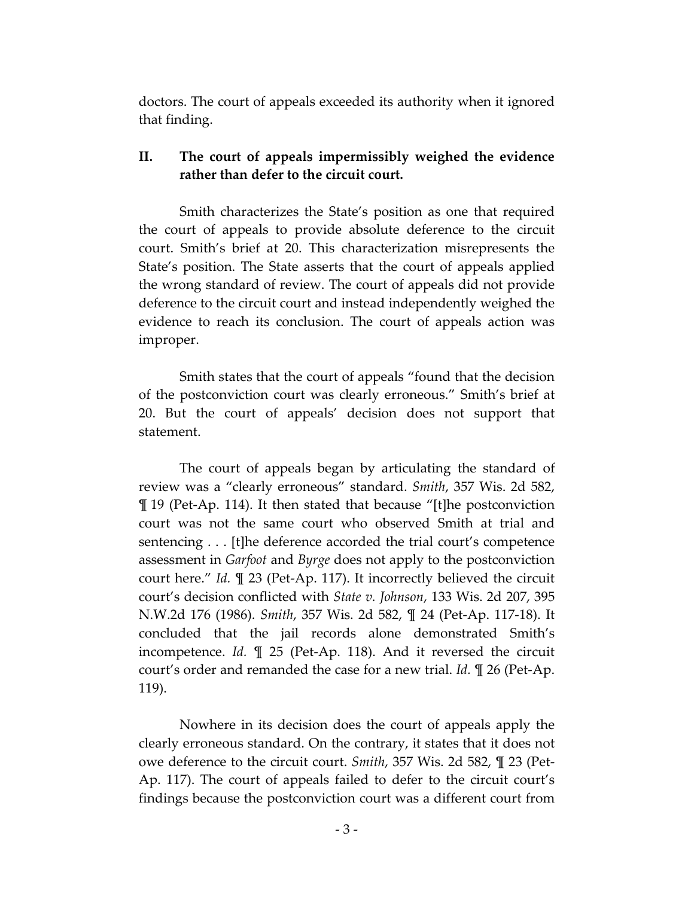doctors. The court of appeals exceeded its authority when it ignored that finding.

## **II. The court of appeals impermissibly weighed the evidence rather than defer to the circuit court.**

Smith characterizes the State's position as one that required the court of appeals to provide absolute deference to the circuit court. Smith's brief at 20. This characterization misrepresents the State's position. The State asserts that the court of appeals applied the wrong standard of review. The court of appeals did not provide deference to the circuit court and instead independently weighed the evidence to reach its conclusion. The court of appeals action was improper.

Smith states that the court of appeals "found that the decision of the postconviction court was clearly erroneous." Smith's brief at 20. But the court of appeals' decision does not support that statement.

The court of appeals began by articulating the standard of review was a "clearly erroneous" standard. *Smith*, 357 Wis. 2d 582, ¶ 19 (Pet-Ap. 114). It then stated that because "[t]he postconviction court was not the same court who observed Smith at trial and sentencing . . . [t]he deference accorded the trial court's competence assessment in *Garfoot* and *Byrge* does not apply to the postconviction court here." *Id.* ¶ 23 (Pet-Ap. 117). It incorrectly believed the circuit court's decision conflicted with *State v. Johnson*, 133 Wis. 2d 207, 395 N.W.2d 176 (1986). *Smith*, 357 Wis. 2d 582, ¶ 24 (Pet-Ap. 117-18). It concluded that the jail records alone demonstrated Smith's incompetence. *Id.* ¶ 25 (Pet-Ap. 118). And it reversed the circuit court's order and remanded the case for a new trial. *Id.* ¶ 26 (Pet-Ap. 119).

Nowhere in its decision does the court of appeals apply the clearly erroneous standard. On the contrary, it states that it does not owe deference to the circuit court. *Smith*, 357 Wis. 2d 582, ¶ 23 (Pet-Ap. 117). The court of appeals failed to defer to the circuit court's findings because the postconviction court was a different court from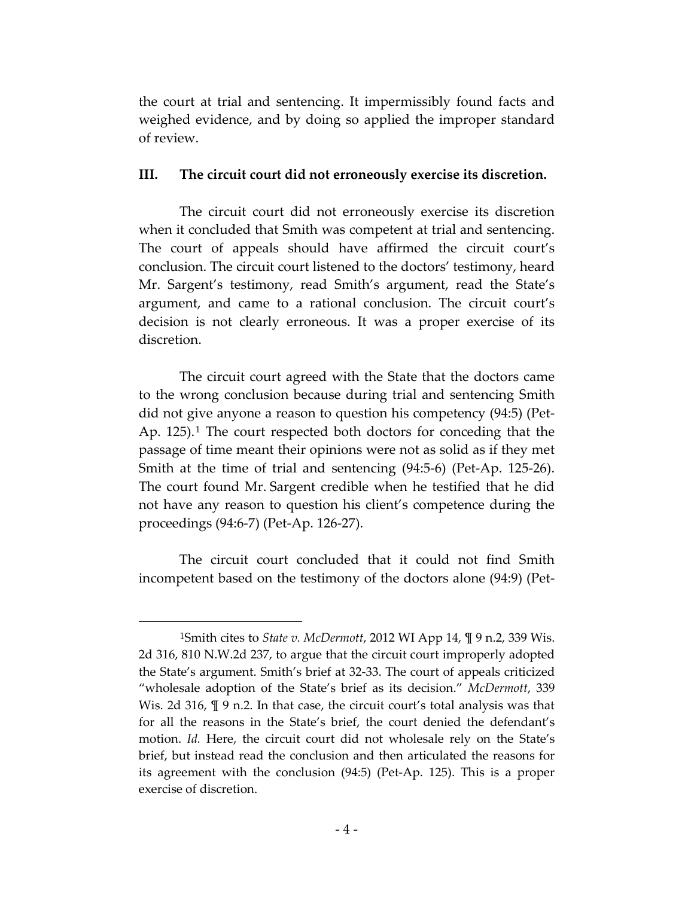the court at trial and sentencing. It impermissibly found facts and weighed evidence, and by doing so applied the improper standard of review.

#### **III. The circuit court did not erroneously exercise its discretion.**

The circuit court did not erroneously exercise its discretion when it concluded that Smith was competent at trial and sentencing. The court of appeals should have affirmed the circuit court's conclusion. The circuit court listened to the doctors' testimony, heard Mr. Sargent's testimony, read Smith's argument, read the State's argument, and came to a rational conclusion. The circuit court's decision is not clearly erroneous. It was a proper exercise of its discretion.

The circuit court agreed with the State that the doctors came to the wrong conclusion because during trial and sentencing Smith did not give anyone a reason to question his competency (94:5) (Pet-Ap. [1](#page-6-0)25).<sup>1</sup> The court respected both doctors for conceding that the passage of time meant their opinions were not as solid as if they met Smith at the time of trial and sentencing (94:5-6) (Pet-Ap. 125-26). The court found Mr. Sargent credible when he testified that he did not have any reason to question his client's competence during the proceedings (94:6-7) (Pet-Ap. 126-27).

The circuit court concluded that it could not find Smith incompetent based on the testimony of the doctors alone (94:9) (Pet-

 $\overline{a}$ 

<span id="page-6-0"></span><sup>1</sup>Smith cites to *State v. McDermott*, 2012 WI App 14, ¶ 9 n.2, 339 Wis. 2d 316, 810 N.W.2d 237, to argue that the circuit court improperly adopted the State's argument. Smith's brief at 32-33. The court of appeals criticized "wholesale adoption of the State's brief as its decision." *McDermott*, 339 Wis. 2d 316,  $\mathbb{I}$  9 n.2. In that case, the circuit court's total analysis was that for all the reasons in the State's brief, the court denied the defendant's motion. *Id.* Here, the circuit court did not wholesale rely on the State's brief, but instead read the conclusion and then articulated the reasons for its agreement with the conclusion (94:5) (Pet-Ap. 125). This is a proper exercise of discretion.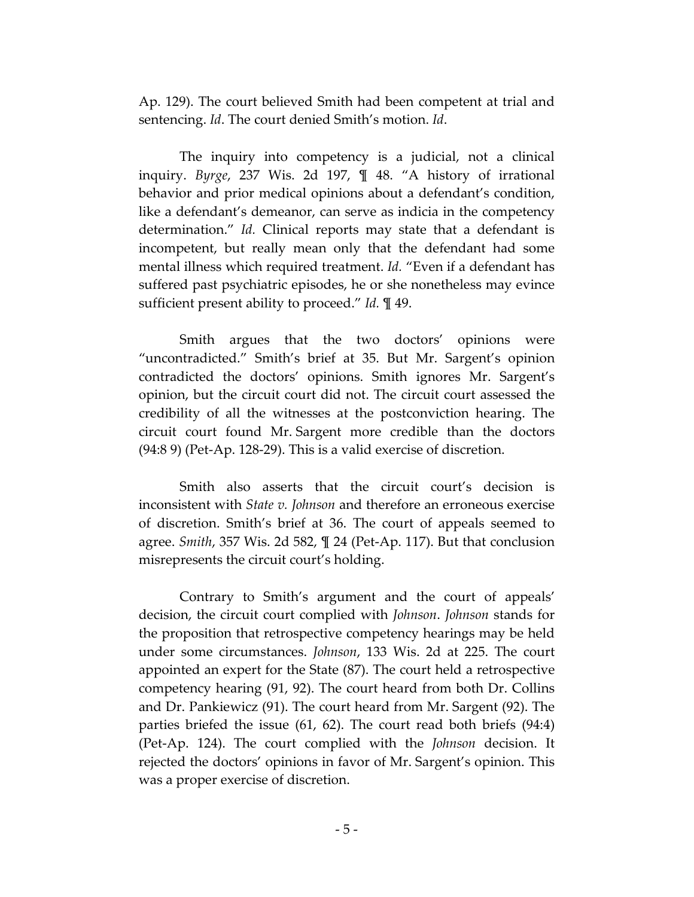Ap. 129). The court believed Smith had been competent at trial and sentencing. *Id*. The court denied Smith's motion. *Id*.

The inquiry into competency is a judicial, not a clinical inquiry. *Byrge*, 237 Wis. 2d 197, ¶ 48. "A history of irrational behavior and prior medical opinions about a defendant's condition, like a defendant's demeanor, can serve as indicia in the competency determination." *Id.* Clinical reports may state that a defendant is incompetent, but really mean only that the defendant had some mental illness which required treatment. *Id.* "Even if a defendant has suffered past psychiatric episodes, he or she nonetheless may evince sufficient present ability to proceed." *Id.* ¶ 49.

Smith argues that the two doctors' opinions were "uncontradicted." Smith's brief at 35. But Mr. Sargent's opinion contradicted the doctors' opinions. Smith ignores Mr. Sargent's opinion, but the circuit court did not. The circuit court assessed the credibility of all the witnesses at the postconviction hearing. The circuit court found Mr. Sargent more credible than the doctors (94:8 9) (Pet-Ap. 128-29). This is a valid exercise of discretion.

Smith also asserts that the circuit court's decision is inconsistent with *State v. Johnson* and therefore an erroneous exercise of discretion. Smith's brief at 36. The court of appeals seemed to agree. *Smith*, 357 Wis. 2d 582, ¶ 24 (Pet-Ap. 117). But that conclusion misrepresents the circuit court's holding.

Contrary to Smith's argument and the court of appeals' decision, the circuit court complied with *Johnson*. *Johnson* stands for the proposition that retrospective competency hearings may be held under some circumstances. *Johnson*, 133 Wis. 2d at 225. The court appointed an expert for the State (87). The court held a retrospective competency hearing (91, 92). The court heard from both Dr. Collins and Dr. Pankiewicz (91). The court heard from Mr. Sargent (92). The parties briefed the issue (61, 62). The court read both briefs (94:4) (Pet-Ap. 124). The court complied with the *Johnson* decision. It rejected the doctors' opinions in favor of Mr. Sargent's opinion. This was a proper exercise of discretion.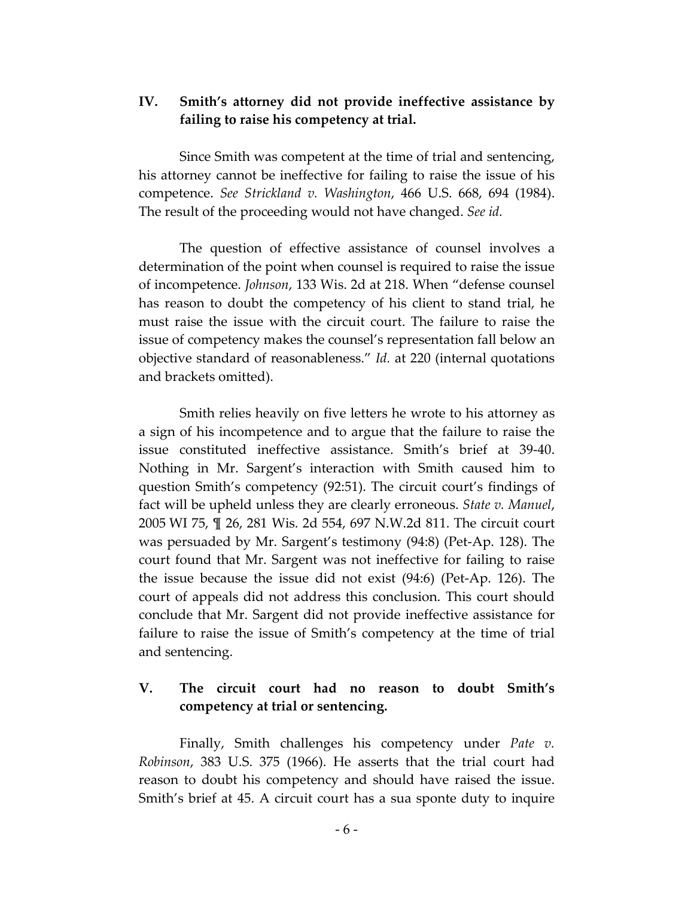### **IV. Smith's attorney did not provide ineffective assistance by failing to raise his competency at trial.**

Since Smith was competent at the time of trial and sentencing, his attorney cannot be ineffective for failing to raise the issue of his competence. *See Strickland v. Washington*, 466 U.S. 668, 694 (1984). The result of the proceeding would not have changed. *See id.*

The question of effective assistance of counsel involves a determination of the point when counsel is required to raise the issue of incompetence. *Johnson*, 133 Wis. 2d at 218. When "defense counsel has reason to doubt the competency of his client to stand trial, he must raise the issue with the circuit court. The failure to raise the issue of competency makes the counsel's representation fall below an objective standard of reasonableness." *Id.* at 220 (internal quotations and brackets omitted).

Smith relies heavily on five letters he wrote to his attorney as a sign of his incompetence and to argue that the failure to raise the issue constituted ineffective assistance. Smith's brief at 39-40. Nothing in Mr. Sargent's interaction with Smith caused him to question Smith's competency (92:51). The circuit court's findings of fact will be upheld unless they are clearly erroneous. *State v. Manuel*, 2005 WI 75, ¶ 26, 281 Wis. 2d 554, 697 N.W.2d 811. The circuit court was persuaded by Mr. Sargent's testimony (94:8) (Pet-Ap. 128). The court found that Mr. Sargent was not ineffective for failing to raise the issue because the issue did not exist (94:6) (Pet-Ap. 126). The court of appeals did not address this conclusion. This court should conclude that Mr. Sargent did not provide ineffective assistance for failure to raise the issue of Smith's competency at the time of trial and sentencing.

## **V. The circuit court had no reason to doubt Smith's competency at trial or sentencing.**

Finally, Smith challenges his competency under *Pate v. Robinson*, 383 U.S. 375 (1966). He asserts that the trial court had reason to doubt his competency and should have raised the issue. Smith's brief at 45. A circuit court has a sua sponte duty to inquire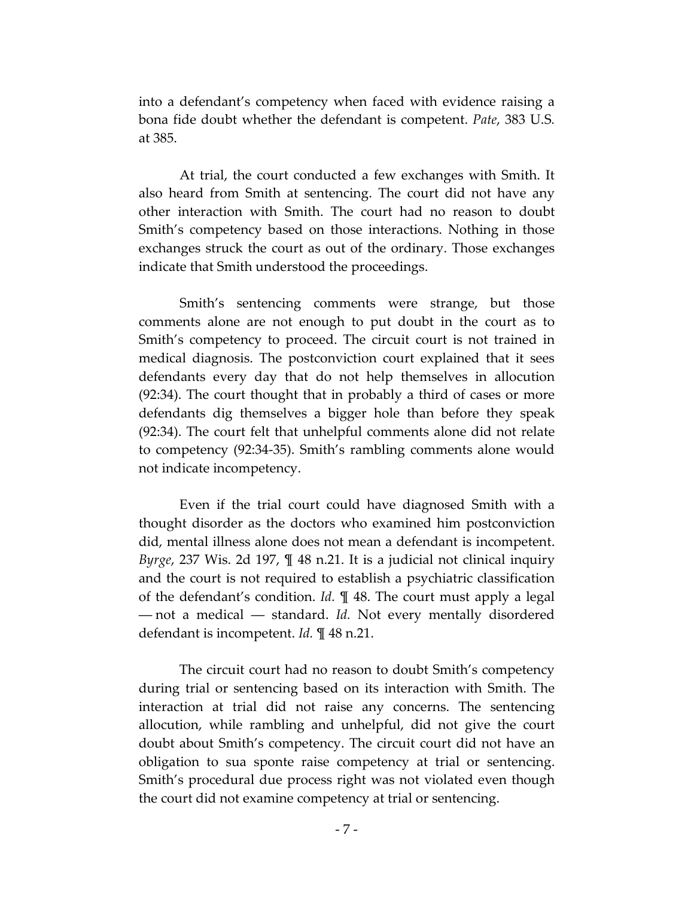into a defendant's competency when faced with evidence raising a bona fide doubt whether the defendant is competent. *Pate*, 383 U.S*.* at 385.

At trial, the court conducted a few exchanges with Smith. It also heard from Smith at sentencing. The court did not have any other interaction with Smith. The court had no reason to doubt Smith's competency based on those interactions. Nothing in those exchanges struck the court as out of the ordinary. Those exchanges indicate that Smith understood the proceedings.

Smith's sentencing comments were strange, but those comments alone are not enough to put doubt in the court as to Smith's competency to proceed. The circuit court is not trained in medical diagnosis. The postconviction court explained that it sees defendants every day that do not help themselves in allocution (92:34). The court thought that in probably a third of cases or more defendants dig themselves a bigger hole than before they speak (92:34). The court felt that unhelpful comments alone did not relate to competency (92:34-35). Smith's rambling comments alone would not indicate incompetency.

Even if the trial court could have diagnosed Smith with a thought disorder as the doctors who examined him postconviction did, mental illness alone does not mean a defendant is incompetent. *Byrge*, 237 Wis. 2d 197, ¶ 48 n.21. It is a judicial not clinical inquiry and the court is not required to establish a psychiatric classification of the defendant's condition. *Id.* ¶ 48. The court must apply a legal ― not a medical ― standard. *Id.* Not every mentally disordered defendant is incompetent. *Id.* ¶ 48 n.21.

The circuit court had no reason to doubt Smith's competency during trial or sentencing based on its interaction with Smith. The interaction at trial did not raise any concerns. The sentencing allocution, while rambling and unhelpful, did not give the court doubt about Smith's competency. The circuit court did not have an obligation to sua sponte raise competency at trial or sentencing. Smith's procedural due process right was not violated even though the court did not examine competency at trial or sentencing.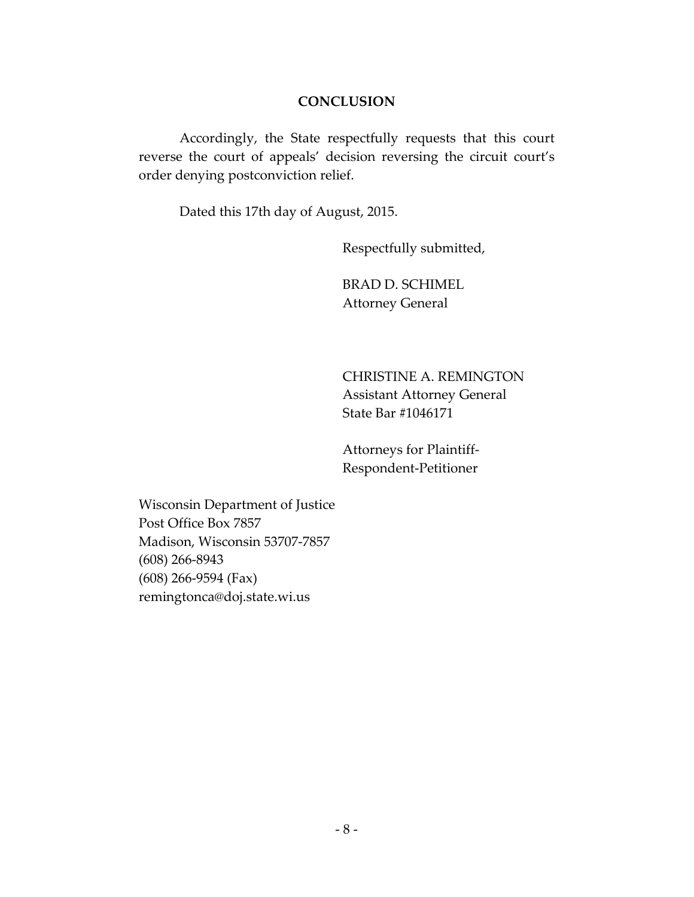#### **CONCLUSION**

Accordingly, the State respectfully requests that this court reverse the court of appeals' decision reversing the circuit court's order denying postconviction relief.

Dated this 17th day of August, 2015.

Respectfully submitted,

BRAD D. SCHIMEL Attorney General

CHRISTINE A. REMINGTON Assistant Attorney General State Bar #1046171

Attorneys for Plaintiff-Respondent-Petitioner

Wisconsin Department of Justice Post Office Box 7857 Madison, Wisconsin 53707-7857 (608) 266-8943 (608) 266-9594 (Fax) remingtonca@doj.state.wi.us